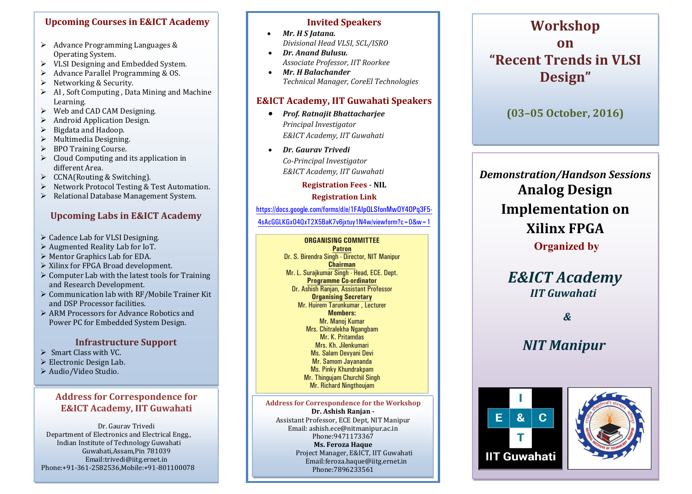## **Upcoming Courses in E&ICT Academy**

- $\triangleright$  Advance Programming Languages & Operating System.
- $\geq$  VLSI Designing and Embedded System.<br> $\geq$  Advance Parallel Programming & OS.
- Advance Parallel Programming & OS.<br>  $\triangleright$  Networking & Security.
- Solution Networking & Security.<br>Solution Networking Data
- AI , Soft Computing , Data Mining and Machine Learning.
- $\geq$  Web and CAD CAM Designing.<br> $\geq$  Android Application Design.
- Android Application Design.<br>  $\triangleright$  Bigdata and Hadoop.
- $\triangleright$  Bigdata and Hadoop.<br> $\triangleright$  Multimedia Designing
- $\triangleright$  Multimedia Designing.<br> $\triangleright$  BPO Training Course.
- $\geq$  BPO Training Course.<br>  $\geq$  Cloud Computing and
- Cloud Computing and its application in different Area.
- $\geq$  CCNA(Routing & Switching).<br>  $\geq$  Network Protocol Testing &
- $\triangleright$  Network Protocol Testing & Test Automation.<br> $\triangleright$  Relational Database Management System.
- Relational Database Management System.

## **Upcoming Labs in E&ICT Academy**

- ▶ Cadence Lab for VLSI Designing.
- Augmented Reality Lab for IoT.
- Mentor Graphics Lab for EDA.
- $\triangleright$  Xilinx for FPGA Broad development.
- $\triangleright$  Computer Lab with the latest tools for Training and Research Development.
- $\triangleright$  Communication lab with RF/Mobile Trainer Kit and DSP Processor facilities.
- ARM Processors for Advance Robotics and Power PC for Embedded System Design.

## **Infrastructure Support**

- $\triangleright$  Smart Class with VC.
- Electronic Design Lab.
- Audio/Video Studio.

## **Address for Correspondence for E&ICT Academy, IIT Guwahati**

Dr. Gaurav Trivedi Department of Electronics and Electrical Engg., Indian Institute of Technology Guwahati Guwahati,Assam,Pin 781039 Email:trivedi@iitg.ernet.in Phone:+91-361-2582536,Mobile:+91-801100078

### **Invited Speakers**

- *Mr. H S Jatana. Divisional Head VLSI, SCL/ISRO*
- *Dr. Anand Bulusu. Associate Professor, IIT Roorkee*
- *Mr. H Balachander Technical Manager, CoreEl Technologies*

## **E&ICT Academy, IIT Guwahati Speakers**

- *Prof. Ratnajit Bhattacharjee Principal Investigator E&ICT Academy, IIT Guwahati*
- *Dr. Gaurav Trivedi Co-Principal Investigator E&ICT Academy, IIT Guwahati*

**Registration Fees - NIL**

### **Registration Link**

https://docs.google.com/forms/d/e/1FAIpQLSfonMwOY4OPq3F5-

4sAcGGLKGxO4QxT2X5BaK7v6jxtuy1N4w/viewform?c=0&w=1

## **ORGANISING COMMITTEE**

**Patron** Dr. S. Birendra Singh - Director, NIT Manipur **Chairman** Mr. L. Surajkumar Singh - Head, ECE. Dept. **Programme Co-ordinator** Dr. Ashish Ranjan, Assistant Professor **Organising Secretary** Mr. Huirem Tarunkumar , Lecturer **Members:** Mr. Manoj Kumar Mrs. Chitralekha Ngangbam Mr. K. Pritamdas Mrs. Kh. Jilenkumari Ms. Salam Devyani Devi Mr. Samom Jayananda Ms. Pinky Khundrakpam Mr. Thingujam Churchil Singh Mr. Richard Ningthoujam

**Address for Correspondence for the Workshop Dr. Ashish Ranjan -** Assistant Professor, ECE Dept, NIT Manipur Email: ashish.ece@nitmanipur.ac.in Phone:9471173367 **Ms. Feroza Haque** Project Manager, E&ICT, IIT Guwahati Email:feroza.haque@iitg.ernet.in Phone:7896233561

## **Workshop on "Recent Trends in VLSI Design"**

**(03–05 October, 2016)**

*Demonstration/Handson Sessions* **Analog Design Implementation on Xilinx FPGA Organized by**

# *E&ICT Academy IIT Guwahati*

*&*

## *NIT Manipur*